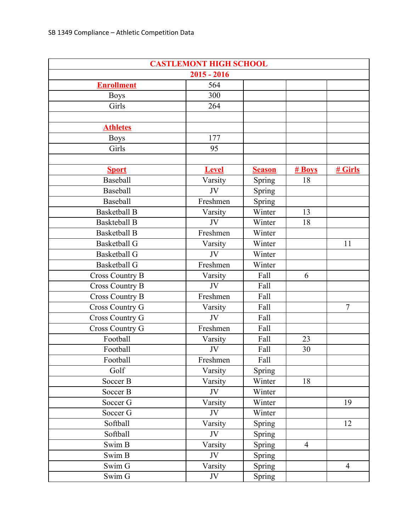| <b>CASTLEMONT HIGH SCHOOL</b> |              |               |                |                |  |  |  |
|-------------------------------|--------------|---------------|----------------|----------------|--|--|--|
| $2015 - 2016$                 |              |               |                |                |  |  |  |
| <b>Enrollment</b>             | 564          |               |                |                |  |  |  |
| <b>Boys</b>                   | 300          |               |                |                |  |  |  |
| Girls                         | 264          |               |                |                |  |  |  |
|                               |              |               |                |                |  |  |  |
| <b>Athletes</b>               |              |               |                |                |  |  |  |
| <b>Boys</b>                   | 177          |               |                |                |  |  |  |
| Girls                         | 95           |               |                |                |  |  |  |
|                               |              |               |                |                |  |  |  |
| <b>Sport</b>                  | <b>Level</b> | <b>Season</b> | # Boys         | # Girls        |  |  |  |
| Baseball                      | Varsity      | Spring        | 18             |                |  |  |  |
| Baseball                      | JV           | Spring        |                |                |  |  |  |
| Baseball                      | Freshmen     | Spring        |                |                |  |  |  |
| <b>Basketball B</b>           | Varsity      | Winter        | 13             |                |  |  |  |
| <b>Baskteball B</b>           | JV           | Winter        | 18             |                |  |  |  |
| <b>Basketball B</b>           | Freshmen     | Winter        |                |                |  |  |  |
| <b>Basketball G</b>           | Varsity      | Winter        |                | 11             |  |  |  |
| <b>Basketball G</b>           | JV           | Winter        |                |                |  |  |  |
| <b>Basketball G</b>           | Freshmen     | Winter        |                |                |  |  |  |
| <b>Cross Country B</b>        | Varsity      | Fall          | 6              |                |  |  |  |
| <b>Cross Country B</b>        | JV           | Fall          |                |                |  |  |  |
| <b>Cross Country B</b>        | Freshmen     | Fall          |                |                |  |  |  |
| <b>Cross Country G</b>        | Varsity      | Fall          |                | $\overline{7}$ |  |  |  |
| Cross Country G               | JV           | Fall          |                |                |  |  |  |
| <b>Cross Country G</b>        | Freshmen     | Fall          |                |                |  |  |  |
| Football                      | Varsity      | Fall          | 23             |                |  |  |  |
| Football                      | JV           | Fall          | 30             |                |  |  |  |
| Football                      | Freshmen     | Fall          |                |                |  |  |  |
| Golf                          | Varsity      | Spring        |                |                |  |  |  |
| Soccer B                      | Varsity      | Winter        | 18             |                |  |  |  |
| Soccer B                      | JV           | Winter        |                |                |  |  |  |
| Soccer G                      | Varsity      | Winter        |                | 19             |  |  |  |
| Soccer G                      | JV           | Winter        |                |                |  |  |  |
| Softball                      | Varsity      | Spring        |                | 12             |  |  |  |
| Softball                      | JV           | Spring        |                |                |  |  |  |
| Swim B                        | Varsity      | Spring        | $\overline{4}$ |                |  |  |  |
| Swim B                        | JV           | Spring        |                |                |  |  |  |
| Swim G                        | Varsity      | Spring        |                | $\overline{4}$ |  |  |  |
| Swim G                        | JV           | Spring        |                |                |  |  |  |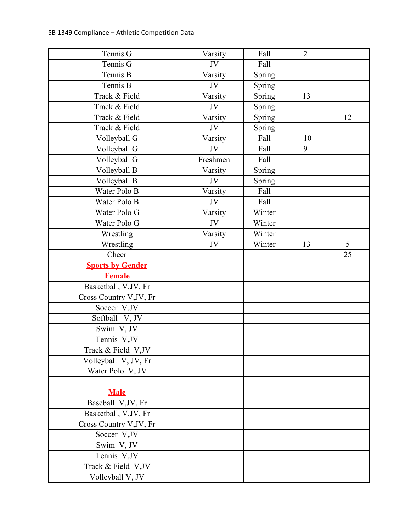| Tennis G                | Varsity  | Fall   | $\overline{2}$ |    |
|-------------------------|----------|--------|----------------|----|
| Tennis G                | JV       | Fall   |                |    |
| Tennis B                | Varsity  | Spring |                |    |
| Tennis B                | JV       | Spring |                |    |
| Track & Field           | Varsity  | Spring | 13             |    |
| Track & Field           | JV       | Spring |                |    |
| Track & Field           | Varsity  | Spring |                | 12 |
| Track & Field           | JV       | Spring |                |    |
| Volleyball G            | Varsity  | Fall   | 10             |    |
| Volleyball G            | JV       | Fall   | 9              |    |
| Volleyball G            | Freshmen | Fall   |                |    |
| Volleyball B            | Varsity  | Spring |                |    |
| Volleyball B            | JV       | Spring |                |    |
| Water Polo B            | Varsity  | Fall   |                |    |
| Water Polo B            | JV       | Fall   |                |    |
| Water Polo G            | Varsity  | Winter |                |    |
| Water Polo G            | JV       | Winter |                |    |
| Wrestling               | Varsity  | Winter |                |    |
| Wrestling               | JV       | Winter | 13             | 5  |
| Cheer                   |          |        |                | 25 |
| <b>Sports by Gender</b> |          |        |                |    |
| <b>Female</b>           |          |        |                |    |
| Basketball, V,JV, Fr    |          |        |                |    |
| Cross Country V, JV, Fr |          |        |                |    |
| Soccer V,JV             |          |        |                |    |
| Softball V, JV          |          |        |                |    |
| Swim V, JV              |          |        |                |    |
| Tennis V,JV             |          |        |                |    |
| Track & Field V,JV      |          |        |                |    |
| Volleyball V, JV, Fr    |          |        |                |    |
| Water Polo V, JV        |          |        |                |    |
|                         |          |        |                |    |
| <b>Male</b>             |          |        |                |    |
| Baseball V, JV, Fr      |          |        |                |    |
| Basketball, V,JV, Fr    |          |        |                |    |
| Cross Country V, JV, Fr |          |        |                |    |
| Soccer V,JV             |          |        |                |    |
| Swim V, JV              |          |        |                |    |
| Tennis V,JV             |          |        |                |    |
| Track & Field V,JV      |          |        |                |    |
| Volleyball V, JV        |          |        |                |    |